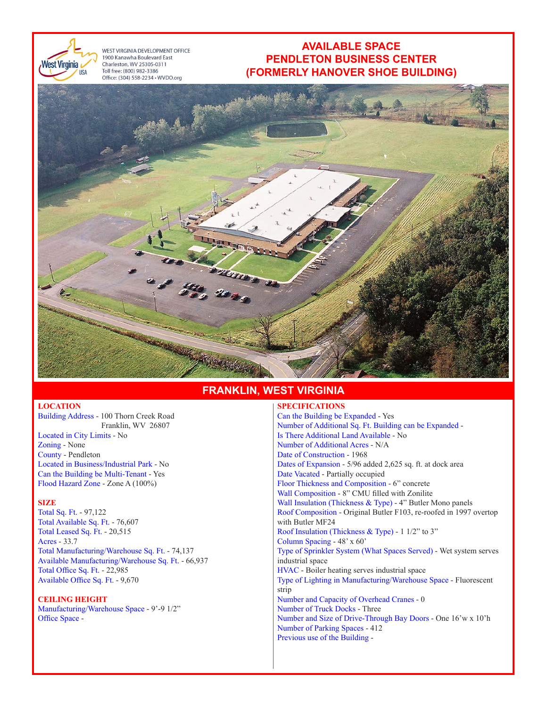

WEST VIRGINIA DEVELOPMENT OFFICE 1900 Kanawha Boulevard East Charleston, WV 25305-0311 Toll free: (800) 982-3386 Office: (304) 558-2234 · WVDO.org

# **AVAILABLE SPACE PENDLETON BUSINESS CENTER (FORMERLY HANOVER SHOE BUILDING)**



# **FRANKLIN, WEST VIRGINIA**

### **LOCATION**

Building Address - 100 Thorn Creek Road Franklin, WV 26807 Located in City Limits - No Zoning - None County - Pendleton Located in Business/Industrial Park - No Can the Building be Multi-Tenant - Yes Flood Hazard Zone - Zone A (100%)

**SIZE** 

Total Sq. Ft. - 97,122 Total Available Sq. Ft. - 76,607 Total Leased Sq. Ft. - 20,515 Acres - 33.7 Total Manufacturing/Warehouse Sq. Ft. - 74,137 Available Manufacturing/Warehouse Sq. Ft. - 66,937 Total Office Sq. Ft. - 22,985 Available Office Sq. Ft. - 9,670

#### **CEILING HEIGHT**

Manufacturing/Warehouse Space - 9'-9 1/2" Office Space -

## **SPECIFICATIONS**

Can the Building be Expanded - Yes Number of Additional Sq. Ft. Building can be Expanded - Is There Additional Land Available - No Number of Additional Acres - N/A Date of Construction - 1968 Dates of Expansion - 5/96 added 2,625 sq. ft. at dock area Date Vacated - Partially occupied Floor Thickness and Composition - 6" concrete Wall Composition - 8" CMU filled with Zonilite Wall Insulation (Thickness & Type) - 4" Butler Mono panels Roof Composition - Original Butler F103, re-roofed in 1997 overtop with Butler MF24 Roof Insulation (Thickness & Type) - 1 1/2" to 3" Column Spacing - 48' x 60' Type of Sprinkler System (What Spaces Served) - Wet system serves industrial space HVAC - Boiler heating serves industrial space Type of Lighting in Manufacturing/Warehouse Space - Fluorescent strip Number and Capacity of Overhead Cranes - 0 Number of Truck Docks - Three Number and Size of Drive-Through Bay Doors - One 16'w x 10'h Number of Parking Spaces - 412 Previous use of the Building -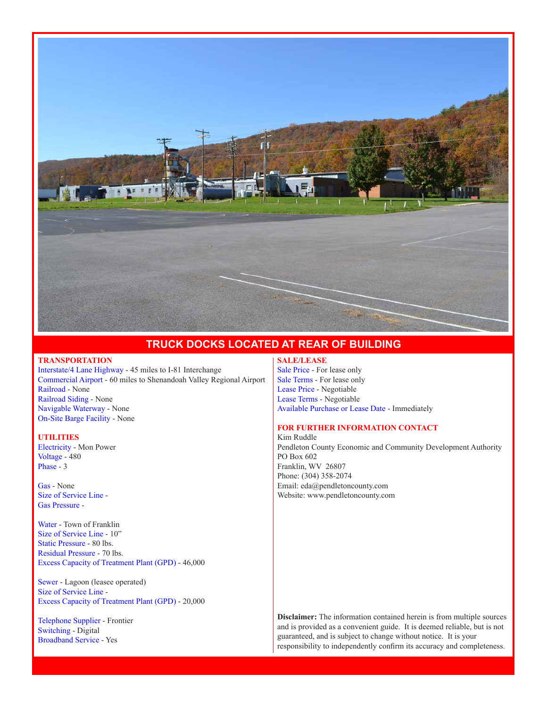

## **TRUCK DOCKS LOCATED AT REAR OF BUILDING**

## **TRANSPORTATION**

Interstate/4 Lane Highway - 45 miles to I-81 Interchange Commercial Airport - 60 miles to Shenandoah Valley Regional Airport Railroad - None Railroad Siding - None Navigable Waterway - None On-Site Barge Facility - None

#### **UTILITIES**

Electricity - Mon Power Voltage - 480 Phase - 3

Gas - None Size of Service Line - Gas Pressure -

Water - Town of Franklin Size of Service Line - 10" Static Pressure - 80 lbs. Residual Pressure - 70 lbs. Excess Capacity of Treatment Plant (GPD) - 46,000

Sewer - Lagoon (leasee operated) Size of Service Line - Excess Capacity of Treatment Plant (GPD) - 20,000

Telephone Supplier - Frontier Switching - Digital Broadband Service - Yes

## **SALE/LEASE**

Sale Price - For lease only Sale Terms - For lease only Lease Price - Negotiable Lease Terms - Negotiable Available Purchase or Lease Date - Immediately

## **FOR FURTHER INFORMATION CONTACT**

Kim Ruddle Pendleton County Economic and Community Development Authority PO Box 602 Franklin, WV 26807 Phone: (304) 358-2074 Email: eda@pendletoncounty.com Website: www.pendletoncounty.com

**Disclaimer:** The information contained herein is from multiple sources and is provided as a convenient guide. It is deemed reliable, but is not guaranteed, and is subject to change without notice. It is your responsibility to independently confirm its accuracy and completeness.